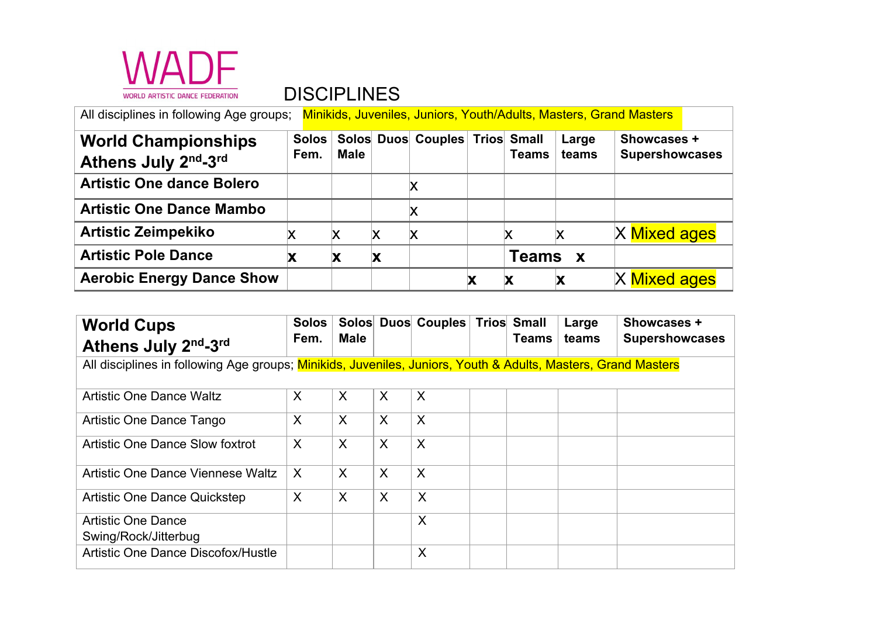

| All disciplines in following Age groups;<br>Minikids, Juveniles, Juniors, Youth/Adults, Masters, Grand Masters |               |             |   |                                |  |              |                |                                      |  |
|----------------------------------------------------------------------------------------------------------------|---------------|-------------|---|--------------------------------|--|--------------|----------------|--------------------------------------|--|
| <b>World Championships</b><br>Athens July 2nd-3rd                                                              | Solos<br>Fem. | <b>Male</b> |   | Solos Duos Couples Trios Small |  | <b>Teams</b> | Large<br>teams | Showcases +<br><b>Supershowcases</b> |  |
| <b>Artistic One dance Bolero</b>                                                                               |               |             |   | X                              |  |              |                |                                      |  |
| <b>Artistic One Dance Mambo</b>                                                                                |               |             |   | X                              |  |              |                |                                      |  |
| <b>Artistic Zeimpekiko</b>                                                                                     | Χ             |             | X | X                              |  |              |                | X Mixed ages                         |  |
| <b>Artistic Pole Dance</b>                                                                                     | X             |             | X |                                |  | Teams        | $\mathbf{x}$   |                                      |  |
| <b>Aerobic Energy Dance Show</b>                                                                               |               |             |   |                                |  | Х            | Х              | X Mixed ages                         |  |

| <b>World Cups</b><br>Athens July 2nd-3rd                                                                      | <b>Solos</b><br>Fem. | <b>Male</b> |                           | Solos Duos Couples Trios Small |  | Teams | Large<br>teams | <b>Showcases +</b><br><b>Supershowcases</b> |
|---------------------------------------------------------------------------------------------------------------|----------------------|-------------|---------------------------|--------------------------------|--|-------|----------------|---------------------------------------------|
| All disciplines in following Age groups; Minikids, Juveniles, Juniors, Youth & Adults, Masters, Grand Masters |                      |             |                           |                                |  |       |                |                                             |
| <b>Artistic One Dance Waltz</b>                                                                               | X                    | X           | X                         | X                              |  |       |                |                                             |
| Artistic One Dance Tango                                                                                      | X                    | X           | X                         | X                              |  |       |                |                                             |
| Artistic One Dance Slow foxtrot                                                                               | X                    | $\sf X$     | $\boldsymbol{\mathsf{X}}$ | X                              |  |       |                |                                             |
| Artistic One Dance Viennese Waltz                                                                             | X                    | $\sf X$     | $\sf X$                   | X                              |  |       |                |                                             |
| <b>Artistic One Dance Quickstep</b>                                                                           | X                    | X           | X                         | X                              |  |       |                |                                             |
| <b>Artistic One Dance</b><br>Swing/Rock/Jitterbug                                                             |                      |             |                           | X                              |  |       |                |                                             |
| Artistic One Dance Discofox/Hustle                                                                            |                      |             |                           | X                              |  |       |                |                                             |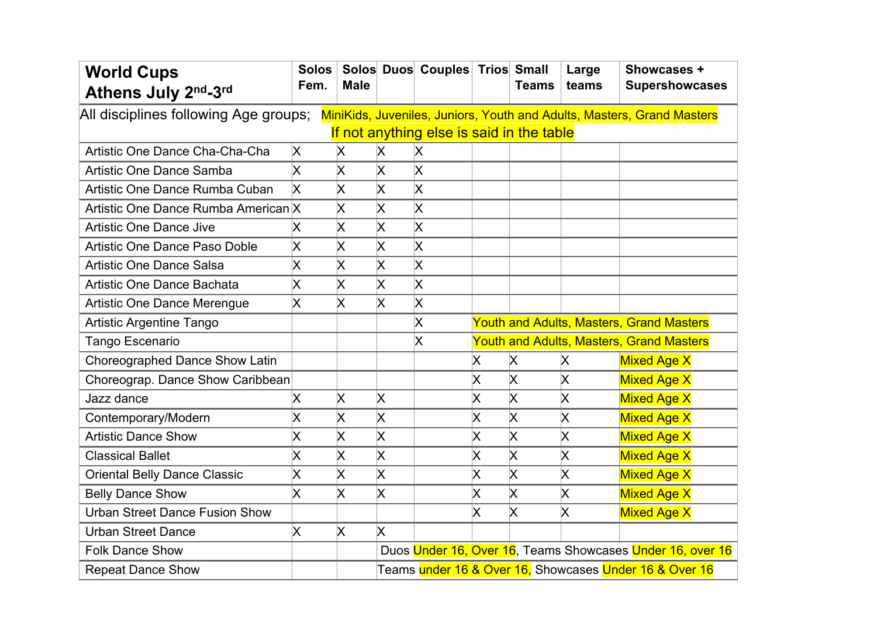| <b>World Cups</b><br>Athens July 2nd-3rd                                                                                                                     | <b>Solos</b><br>Fem.    | <b>Male</b>             |                         | Solos Duos Couples Trios Small |                                                 | <b>Teams</b>       | Large<br>teams          | Showcases +<br><b>Supershowcases</b>                      |  |  |
|--------------------------------------------------------------------------------------------------------------------------------------------------------------|-------------------------|-------------------------|-------------------------|--------------------------------|-------------------------------------------------|--------------------|-------------------------|-----------------------------------------------------------|--|--|
| All disciplines following Age groups;<br>MiniKids, Juveniles, Juniors, Youth and Adults, Masters, Grand Masters<br>If not anything else is said in the table |                         |                         |                         |                                |                                                 |                    |                         |                                                           |  |  |
| Artistic One Dance Cha-Cha-Cha                                                                                                                               | X.                      | X                       | Χ                       | X                              |                                                 |                    |                         |                                                           |  |  |
| Artistic One Dance Samba                                                                                                                                     | X                       | $\pmb{\times}$          | X                       | X                              |                                                 |                    |                         |                                                           |  |  |
| Artistic One Dance Rumba Cuban                                                                                                                               | Χ                       | X                       | $\pmb{\times}$          | $\pmb{\times}$                 |                                                 |                    |                         |                                                           |  |  |
| Artistic One Dance Rumba American X                                                                                                                          |                         | $\pmb{\times}$          | $\pmb{\times}$          | $\pmb{\times}$                 |                                                 |                    |                         |                                                           |  |  |
| <b>Artistic One Dance Jive</b>                                                                                                                               | Χ                       | Χ                       | X                       | X                              |                                                 |                    |                         |                                                           |  |  |
| Artistic One Dance Paso Doble                                                                                                                                | $\mathsf{\overline{X}}$ | $\pmb{\times}$          | X                       | $\pmb{\times}$                 |                                                 |                    |                         |                                                           |  |  |
| <b>Artistic One Dance Salsa</b>                                                                                                                              | Χ                       | $\pmb{\times}$          | $\overline{\mathsf{x}}$ | $\overline{\mathsf{x}}$        |                                                 |                    |                         |                                                           |  |  |
| Artistic One Dance Bachata                                                                                                                                   | Χ                       | Χ                       | X                       | X                              |                                                 |                    |                         |                                                           |  |  |
| <b>Artistic One Dance Merengue</b>                                                                                                                           | X                       | $\overline{\mathsf{x}}$ | $\pmb{\times}$          | X                              |                                                 |                    |                         |                                                           |  |  |
| <b>Artistic Argentine Tango</b>                                                                                                                              |                         |                         |                         | X                              | <b>Youth and Adults, Masters, Grand Masters</b> |                    |                         |                                                           |  |  |
| Tango Escenario                                                                                                                                              |                         |                         |                         | $\mathsf{\overline{X}}$        | <b>Youth and Adults, Masters, Grand Masters</b> |                    |                         |                                                           |  |  |
| Choreographed Dance Show Latin                                                                                                                               |                         |                         |                         |                                | X.                                              | X.                 | X.                      | <b>Mixed Age X</b>                                        |  |  |
| Choreograp. Dance Show Caribbean                                                                                                                             |                         |                         |                         |                                | Χ                                               | $\pmb{\times}$     | X                       | <b>Mixed Age X</b>                                        |  |  |
| Jazz dance                                                                                                                                                   | Χ                       | Χ                       | X                       |                                | Χ                                               | $\pmb{\times}$     | Χ                       | <b>Mixed Age X</b>                                        |  |  |
| Contemporary/Modern                                                                                                                                          | Χ                       | $\pmb{\mathsf{X}}$      | $\pmb{\times}$          |                                | X                                               | Χ                  | Χ                       | <b>Mixed Age X</b>                                        |  |  |
| <b>Artistic Dance Show</b>                                                                                                                                   | Χ                       | $\pmb{\times}$          | X                       |                                | X                                               | $\pmb{\times}$     | $\mathsf{\overline{X}}$ | <b>Mixed Age X</b>                                        |  |  |
| <b>Classical Ballet</b>                                                                                                                                      | Χ                       | $\pmb{\times}$          | X                       |                                | X                                               | X                  | Χ                       | <b>Mixed Age X</b>                                        |  |  |
| <b>Oriental Belly Dance Classic</b>                                                                                                                          | Χ                       | $\mathsf{\overline{X}}$ | $\overline{\mathsf{x}}$ |                                | X                                               | $\pmb{\times}$     | X                       | <b>Mixed Age X</b>                                        |  |  |
| <b>Belly Dance Show</b>                                                                                                                                      | Χ                       | Χ                       | $\pmb{\times}$          |                                | Χ                                               | $\pmb{\mathsf{X}}$ | Χ                       | Mixed Age X                                               |  |  |
| <b>Urban Street Dance Fusion Show</b>                                                                                                                        |                         |                         |                         |                                | X                                               | $\pmb{\times}$     | X                       | <b>Mixed Age X</b>                                        |  |  |
| <b>Urban Street Dance</b>                                                                                                                                    | X                       | Χ                       | X                       |                                |                                                 |                    |                         |                                                           |  |  |
| <b>Folk Dance Show</b>                                                                                                                                       |                         |                         |                         |                                |                                                 |                    |                         | Duos Under 16, Over 16, Teams Showcases Under 16, over 16 |  |  |
| <b>Repeat Dance Show</b>                                                                                                                                     |                         |                         |                         |                                |                                                 |                    |                         | Teams under 16 & Over 16, Showcases Under 16 & Over 16    |  |  |